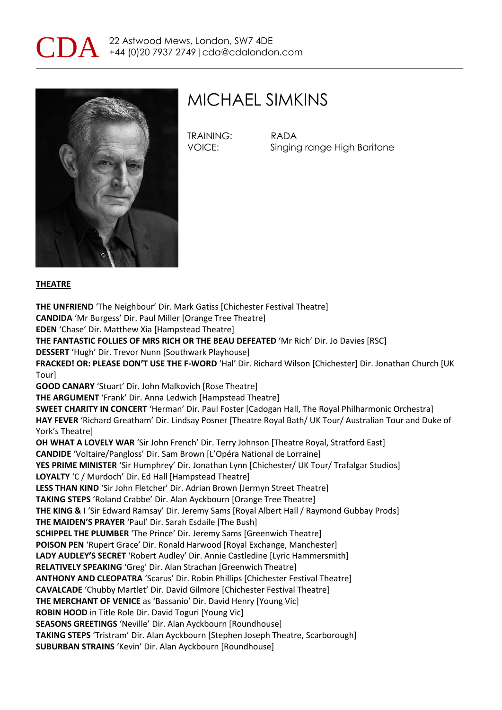



### MICHAEL SIMKINS

TRAINING: RADA

VOICE: Singing range High Baritone

#### **THEATRE**

**THE UNFRIEND** 'The Neighbour' Dir. Mark Gatiss [Chichester Festival Theatre] **CANDIDA** 'Mr Burgess' Dir. Paul Miller [Orange Tree Theatre] **EDEN** 'Chase' Dir. Matthew Xia [Hampstead Theatre] **THE FANTASTIC FOLLIES OF MRS RICH OR THE BEAU DEFEATED** 'Mr Rich' Dir. Jo Davies [RSC] **DESSERT** 'Hugh' Dir. Trevor Nunn [Southwark Playhouse] **FRACKED! OR: PLEASE DON'T USE THE F-WORD** 'Hal' Dir. Richard Wilson [Chichester] Dir. Jonathan Church [UK Tour] **GOOD CANARY** 'Stuart' Dir. John Malkovich [Rose Theatre] **THE ARGUMENT** 'Frank' Dir. Anna Ledwich [Hampstead Theatre] **SWEET CHARITY IN CONCERT** 'Herman' Dir. Paul Foster [Cadogan Hall, The Royal Philharmonic Orchestra] **HAY FEVER** 'Richard Greatham' Dir. Lindsay Posner [Theatre Royal Bath/ UK Tour/ Australian Tour and Duke of York's Theatre] **OH WHAT A LOVELY WAR** 'Sir John French' Dir. Terry Johnson [Theatre Royal, Stratford East] **CANDIDE** 'Voltaire/Pangloss' Dir. Sam Brown [L'Opéra National de Lorraine] **YES PRIME MINISTER** 'Sir Humphrey' Dir. Jonathan Lynn [Chichester/ UK Tour/ Trafalgar Studios] **LOYALTY** 'C / Murdoch' Dir. Ed Hall [Hampstead Theatre] **LESS THAN KIND** 'Sir John Fletcher' Dir. Adrian Brown [Jermyn Street Theatre] **TAKING STEPS** 'Roland Crabbe' Dir. Alan Ayckbourn [Orange Tree Theatre] **THE KING & I** 'Sir Edward Ramsay' Dir. Jeremy Sams [Royal Albert Hall / Raymond Gubbay Prods] **THE MAIDEN'S PRAYER** 'Paul' Dir. Sarah Esdaile [The Bush] **SCHIPPEL THE PLUMBER** 'The Prince' Dir. Jeremy Sams [Greenwich Theatre] **POISON PEN** 'Rupert Grace' Dir. Ronald Harwood [Royal Exchange, Manchester] **LADY AUDLEY'S SECRET** 'Robert Audley' Dir. Annie Castledine [Lyric Hammersmith] **RELATIVELY SPEAKING** 'Greg' Dir. Alan Strachan [Greenwich Theatre] **ANTHONY AND CLEOPATRA** 'Scarus' Dir. Robin Phillips [Chichester Festival Theatre] **CAVALCADE** 'Chubby Martlet' Dir. David Gilmore [Chichester Festival Theatre] **THE MERCHANT OF VENICE** as 'Bassanio' Dir. David Henry [Young Vic] **ROBIN HOOD** in Title Role Dir. David Toguri [Young Vic] **SEASONS GREETINGS** 'Neville' Dir. Alan Ayckbourn [Roundhouse] **TAKING STEPS** 'Tristram' Dir. Alan Ayckbourn [Stephen Joseph Theatre, Scarborough] **SUBURBAN STRAINS** 'Kevin' Dir. Alan Ayckbourn [Roundhouse]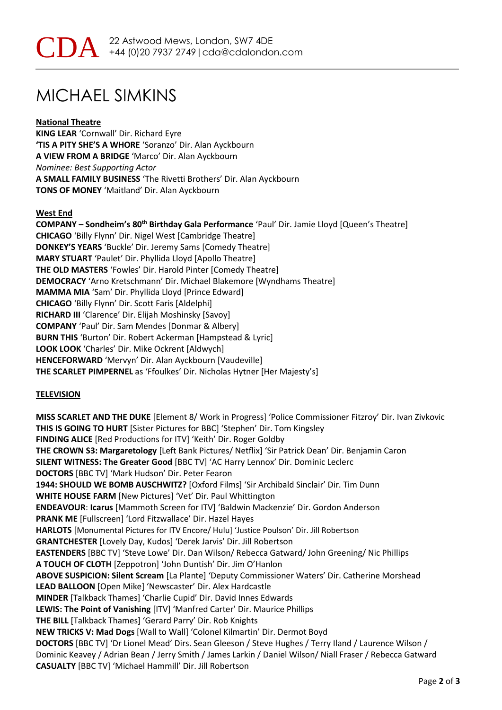# MICHAEL SIMKINS

### **National Theatre**

**KING LEAR** 'Cornwall' Dir. Richard Eyre **'TIS A PITY SHE'S A WHORE** 'Soranzo' Dir. Alan Ayckbourn **A VIEW FROM A BRIDGE** 'Marco' Dir. Alan Ayckbourn *Nominee: Best Supporting Actor* **A SMALL FAMILY BUSINESS** 'The Rivetti Brothers' Dir. Alan Ayckbourn **TONS OF MONEY** 'Maitland' Dir. Alan Ayckbourn

#### **West End**

**COMPANY – Sondheim's 80th Birthday Gala Performance** 'Paul' Dir. Jamie Lloyd [Queen's Theatre] **CHICAGO** 'Billy Flynn' Dir. Nigel West [Cambridge Theatre] **DONKEY'S YEARS** 'Buckle' Dir. Jeremy Sams [Comedy Theatre] **MARY STUART** 'Paulet' Dir. Phyllida Lloyd [Apollo Theatre] **THE OLD MASTERS** 'Fowles' Dir. Harold Pinter [Comedy Theatre] **DEMOCRACY** 'Arno Kretschmann' Dir. Michael Blakemore [Wyndhams Theatre] **MAMMA MIA** 'Sam' Dir. Phyllida Lloyd [Prince Edward] **CHICAGO** 'Billy Flynn' Dir. Scott Faris [Aldelphi] **RICHARD III** 'Clarence' Dir. Elijah Moshinsky [Savoy] **COMPANY** 'Paul' Dir. Sam Mendes [Donmar & Albery] **BURN THIS** 'Burton' Dir. Robert Ackerman [Hampstead & Lyric] **LOOK LOOK** 'Charles' Dir. Mike Ockrent [Aldwych] **HENCEFORWARD** 'Mervyn' Dir. Alan Ayckbourn [Vaudeville] **THE SCARLET PIMPERNEL** as 'Ffoulkes' Dir. Nicholas Hytner [Her Majesty's]

### **TELEVISION**

**MISS SCARLET AND THE DUKE** [Element 8/ Work in Progress] 'Police Commissioner Fitzroy' Dir. Ivan Zivkovic **THIS IS GOING TO HURT** [Sister Pictures for BBC] 'Stephen' Dir. Tom Kingsley **FINDING ALICE** [Red Productions for ITV] 'Keith' Dir. Roger Goldby **THE CROWN S3: Margaretology** [Left Bank Pictures/ Netflix] 'Sir Patrick Dean' Dir. Benjamin Caron **SILENT WITNESS: The Greater Good** [BBC TV] 'AC Harry Lennox' Dir. Dominic Leclerc **DOCTORS** [BBC TV] 'Mark Hudson' Dir. Peter Fearon **1944: SHOULD WE BOMB AUSCHWITZ?** [Oxford Films] 'Sir Archibald Sinclair' Dir. Tim Dunn **WHITE HOUSE FARM** [New Pictures] 'Vet' Dir. Paul Whittington **ENDEAVOUR**: **Icarus** [Mammoth Screen for ITV] 'Baldwin Mackenzie' Dir. Gordon Anderson **PRANK ME** [Fullscreen] 'Lord Fitzwallace' Dir. Hazel Hayes **HARLOTS** [Monumental Pictures for ITV Encore/ Hulu] 'Justice Poulson' Dir. Jill Robertson **GRANTCHESTER** [Lovely Day, Kudos] 'Derek Jarvis' Dir. Jill Robertson **EASTENDERS** [BBC TV] 'Steve Lowe' Dir. Dan Wilson/ Rebecca Gatward/ John Greening/ Nic Phillips **A TOUCH OF CLOTH** [Zeppotron] 'John Duntish' Dir. Jim O'Hanlon **ABOVE SUSPICION: Silent Scream** [La Plante] 'Deputy Commissioner Waters' Dir. Catherine Morshead **LEAD BALLOON** [Open Mike] 'Newscaster' Dir. Alex Hardcastle **MINDER** [Talkback Thames] 'Charlie Cupid' Dir. David Innes Edwards **LEWIS: The Point of Vanishing** [ITV] 'Manfred Carter' Dir. Maurice Phillips **THE BILL** [Talkback Thames] 'Gerard Parry' Dir. Rob Knights **NEW TRICKS V: Mad Dogs** [Wall to Wall] 'Colonel Kilmartin' Dir. Dermot Boyd **DOCTORS** [BBC TV] 'Dr Lionel Mead' Dirs. Sean Gleeson / Steve Hughes / Terry Iland / Laurence Wilson / Dominic Keavey / Adrian Bean / Jerry Smith / James Larkin / Daniel Wilson/ Niall Fraser / Rebecca Gatward **CASUALTY** [BBC TV] 'Michael Hammill' Dir. Jill Robertson